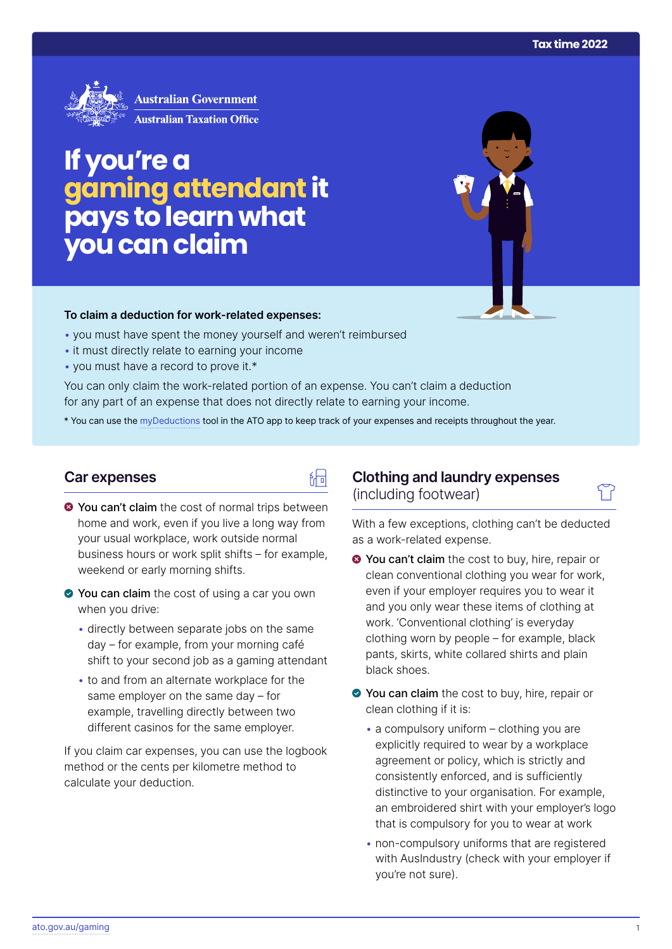

# **If you're a gamingattendant it pays to learn what you can claim**

#### **To claim a deduction for work‑related expenses:**

- you must have spent the money yourself and weren't reimbursed
- it must directly relate to earning your income
- you must have a record to prove it.\*

You can only claim the work-related portion of an expense. You can't claim a deduction for any part of an expense that does not directly relate to earning your income.

\* You can use the [myDeductions](https://ato.gov.au/mydeductions) tool in the ATO app to keep track of your expenses and receipts throughout the year.

品

#### **Car expenses**

- $\bullet$  You can't claim the cost of normal trips between home and work, even if you live a long way from your usual workplace, work outside normal business hours or work split shifts – for example, weekend or early morning shifts.
- ◆ You can claim the cost of using a car you own when you drive:
	- directly between separate jobs on the same day – for example, from your morning café shift to your second job as a gaming attendant
	- to and from an alternate workplace for the same employer on the same day – for example, travelling directly between two different casinos for the same employer.

If you claim car expenses, you can use the logbook method or the cents per kilometre method to calculate your deduction.

## **Clothing and laundry expenses**  (including footwear)

With a few exceptions, clothing can't be deducted as a work-related expense.

- **◆ You can't claim** the cost to buy, hire, repair or clean conventional clothing you wear for work, even if your employer requires you to wear it and you only wear these items of clothing at work. 'Conventional clothing' is everyday clothing worn by people – for example, black pants, skirts, white collared shirts and plain black shoes.
- You can claim the cost to buy, hire, repair or clean clothing if it is:
	- $\bullet$  a compulsory uniform clothing you are explicitly required to wear by a workplace agreement or policy, which is strictly and consistently enforced, and is sufficiently distinctive to your organisation. For example, an embroidered shirt with your employer's logo that is compulsory for you to wear at work
	- non-compulsory uniforms that are registered with AusIndustry (check with your employer if you're not sure).